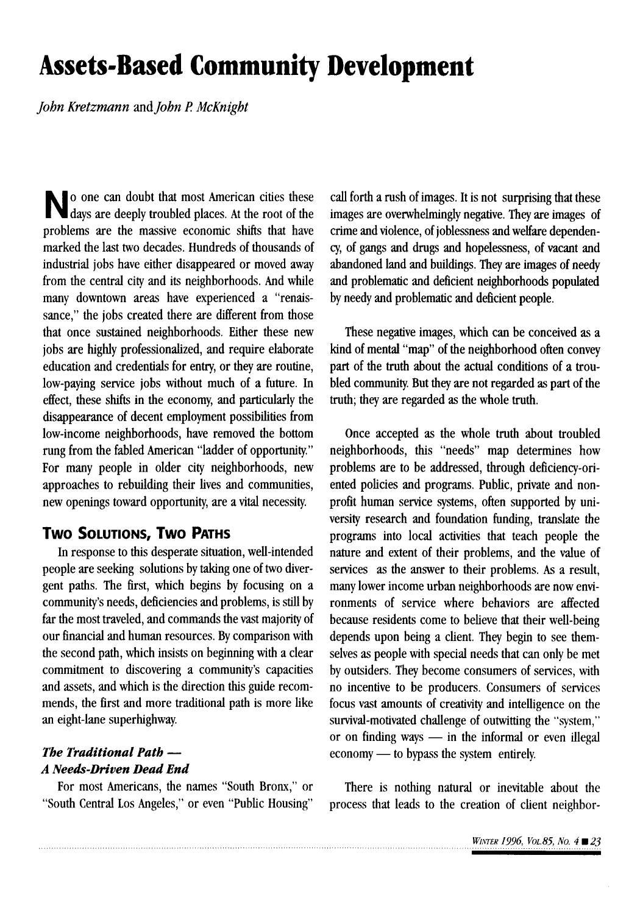# **Assets-Based Community Development**

*John Kretzmunn* and *John l? McKnight* 

**N** o one can doubt that most American cities these days are deeply troubled places. At the root of the problems are the massive economic shifts that have marked the last two decades. Hundreds of thousands of industrial jobs have either disappeared or moved away from the central city and its neighborhoods. And while many downtown areas have experienced a "renaissance," the jobs created there are different from those that once sustained neighborhoods. Either these new jobs are highly professionalized, and require elaborate education and credentials for entry, or they are routine, low-paying service jobs without much of a future. In effect, these shifts in the economy, and particularly the disappearance of decent employment possibilities from low-income neighborhoods, have removed the bottom rung from the fabled American "ladder of opportunity" For many people in older city neighborhoods, new approaches to rebuilding their lives and communities, new openings toward opportunity, are a vital necessity.

### **Two SOLUTIONS, Two PATHS**

In response to this desperate situation, well-intended people are seeking solutions by taking one of two divergent paths. The first, which begins by focusing on a community's needs, deficiencies and problems, is still by far the most traveled, and commands the vast majority of our financial and human resources. By comparison with the second path, which insists on beginning with a clear commitment to discovering a community's capacities and assets, and which is the direction this guide recommends, the first and more traditional path is more like an eight-lane superhighway.

#### **The Traditional Path —** *A Needs-Driven Dead End*

For most Americans, the names "South Bronx," or "South Central Los Angeles," or even ''Public Housing" call forth a rush of images. It is not surprising that these images are overwhelmingly negative. They are images of crime and violence, of joblessness and welfare dependency, of gangs and drugs and hopelessness, of vacant and abandoned land and buildings. They are images **of** needy and problematic and deficient neighborhoods populated by needy and problematic and deficient people.

These negative images, which can be conceived **as** a kind of mental "map" of the neighborhood often convey part of the truth about the actual conditions of a troubled community. But they are not regarded **as** part of the truth; they are regarded **as** the whole truth.

Once accepted **as** the whole truth about troubled neighborhoods, this "needs" map determines how problems are to be addressed, through deficiency-oriented policies and programs. Public, private and nonprofit human service systems, often supported by university research and foundation funding, translate the programs into local activities that teach people the nature and extent of their problems, and the value of services **as** the answer to their problems. **As** a result, many lower income urban neighborhoods are now environments of service where behaviors are affected because residents come to believe that their well-being depends upon being a client. They begin to see themselves **as** people with special needs that can only be met by outsiders. They become consumers of services, with no incentive to be producers. Consumers of services focus vast amounts of creativity and intelligence on the survival-motivated challenge of outwitting the "system," focus vast amounts of creativity and intelligence on the<br>survival-motivated challenge of outwitting the "system,"<br>or on finding ways — in the informal or even illegal or on finding ways  $-$  in the informal or even illegal economy  $-$  to bypass the system entirely.

There is nothing natural or inevitable about the process that leads to the creation of client neighbor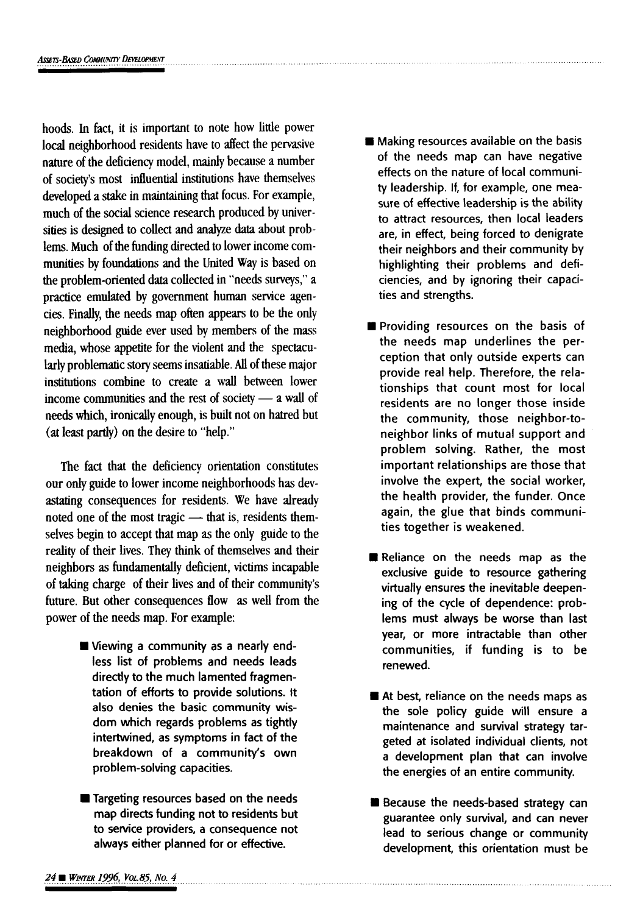hoods. In fact, it is important to note how little power local neighborhood residents have to affect the pervasive nature of the deficiency model, mainly because a number of society's most influential institutions have themselves developed a stake in maintaining that focus. For example, much of the social science research produced by universities is designed to collect and analyze **data** about problems. Much of the funding directed to lower income communities by foundations and the United Way is based on the problem-oriented data collected in "needs surveys," a practice emulated by government human service agencies. Finally, the needs map often appears to be the only neighborhood guide ever used by members of the mass media, whose appetite for the violent and the spectacularly problematic story seems insatiable. All of these major institutions combine to create a wall between lower income communities and the rest of society  $-$  a wall of **needs** which, ironically enough, is built not on hatred but *(at* least partly) **on** the desire to "help."

The fact that the deficiency orientation constitutes our only guide to lower income neighborhoods has devastating consequences for residents. We have already our only guide to lower income neighborhoods has dev-<br>astating consequences for residents. We have already<br>noted one of the most tragic - that is, residents themselves begin to accept that map as the only guide to the reality of their lives. They think of themselves and their neighbors **as** fundamentally deficient, victims incapable of taking charge of their lives and of their community's future. But other consequences flow as well from the power of the needs map. For example:

- **W** Viewing a community as a nearly endless list of problems and needs leads directly to the much lamented fragmentation of efforts to provide solutions. It also denies the basic community wisdom which regards problems as tightly intertwined, as symptoms in fact of the breakdown of a community's own problem-solving capacities.
- Targeting resources based on the needs map directs funding not to residents but to service providers, a consequence not always either planned for or effective.
- **H** Making resources available on the basis of the needs map can have negative effects on the nature of local communi**ty** leadership. If, for example, one measure of effective leadership is the ability to attract resources, then local leaders are, in effect, being forced to denigrate their neighbors and their community by highlighting their problems and deficiencies, and by ignoring their capacities and strengths.
- **<sup>W</sup>**Providing resources on the basis of the needs map underlines the perception that only outside experts can provide real help. Therefore, the relationships that count most for local residents are no longer those inside the community, those neighbor-toneighbor links of mutual support and problem solving. Rather, the most important relationships are those that involve the expert, the social worker, the health provider, the funder. Once again, the glue that binds communities together is weakened.
- E Reliance on the needs map as the exclusive guide to resource gathering virtually ensures the inevitable deepening of the cycle of dependence: problems must always be worse than last year, or more intractable than other communities, if funding is to be renewed.
- **W** At best, reliance on the needs maps as the sole policy guide will ensure a maintenance and survival strategy targeted at isolated individual clients, not a development plan that can involve the energies of an entire community.
- **W** Because the needs-based strategy can guarantee only survival, and can never lead to serious change or community development, this orientation must be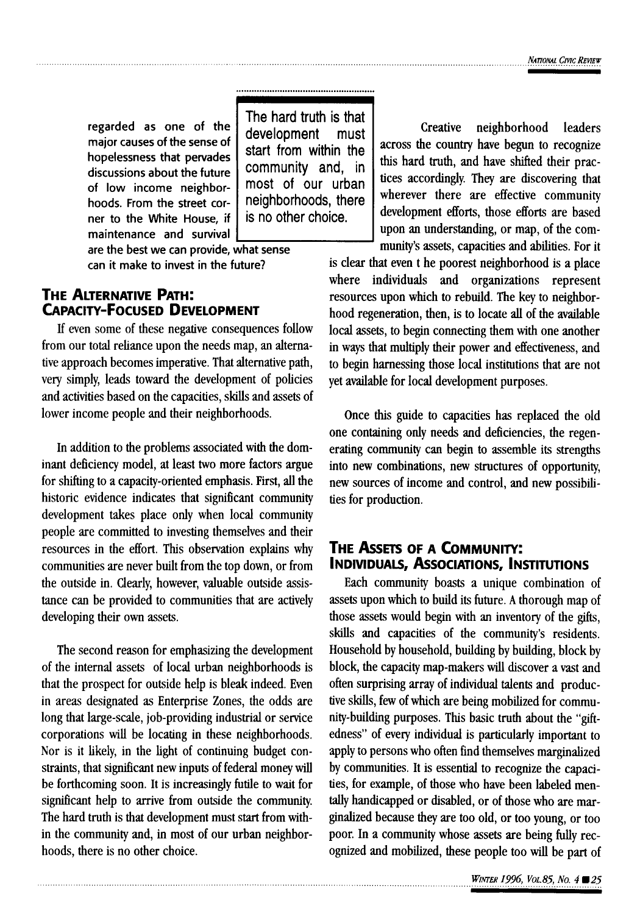**regarded as one of the major causes of the sense of hopelessness that pervades discussions about the future of low income neighborhoods. From the street corner to the White House, if maintenance and survival**  The hard truth is that development must start from within the community and, in most of our urban neighborhoods, there is no other choice.

**are the best we can provide, what sense can it make to invest in the future?** 

#### **THE ALTERNATIVE PATH: CAPACITY-FOCUSED DEVELOPMENT**

If even some of these negative consequences follow from our total reliance upon the needs map, an alternative approach becomes imperative. That alternative path, very simply, leads toward the development of policies and activities based on the capacities, **skills** and assets of lower income people and their neighborhoods.

In addition to the problems associated with the dominant deficiency model, at least two more factors argue for shifting to a capacity-oriented emphasis. First, **all** the historic evidence indicates that significant community development takes place only when local community people are committed to investing themselves and their resources in the effort. This observation explains why communities are never built from the top down, or from the outside in. Clearly, however, valuable outside assistance can be provided to communities that are actively developing their own assets.

The second reason for emphasizing the development of the internal assets of local urban neighborhoods is that the prospect for outside help is bleak indeed. Even in areas designated **as** Enterprise Zones, the odds are long that large-scale, job-providing industrial or service corporations will be locating in these neighborhoods. Nor is it likely, in the light of continuing budget constraints, that significant new inputs of federal money will be forthcoming soon. It **is** increasingly futile to wait for significant help to arrive from outside the community. The hard truth is that development must **start** from within the community and, in most of our urban neighborhoods, there is no other choice.

Creative neighborhood leaders across the country have begun to recognize this hard truth, and have shifted their practices accordingly. They are discovering that wherever there are effective community development efforts, those efforts are based upon an understanding, or map, of the community's assets, capacities and abilities. For it

is clear that even **t** he poorest neighborhood is a place where individuals and organizations represent resources upon which to rebuld. The key to neighborhood regeneration, then, is to locate **all** of the available local assets, to begin connecting them with one another in ways that multiply their power and effectiveness, and to begin harnessing those local institutions that are not yet available for local development purposes.

Once this guide to capacities has replaced the old one containing only needs and deficiencies, the regenerating community can begin to assemble its strengths into new combinations, new structures of opportunity, new sources of income and control, and new possibilities for production.

#### **THE ASSETS OF A COMMUNITY: INDIVIDUALS, ASSOCIATIONS, INSTITUTIONS**

Each community boasts a unique combination of assets upon which to build its future. **A** thorough map of those assets would begin with an inventory of the gifts, **skills** and capacities of the community's residents. Household by household, building by building, block by block, the capacity map-makers will discover a vast and often surprising array of individual talents and productive **skills,** few of which are being mobilized for community-building purposes. This basic truth about the "giftedness" of every individual is particularly important to apply to persons who often find themselves marginalized by communities. It is essential to recognize the capacities, **for** example, of those who have been labeled mentally handicapped or disabled, or of those who are marginalized because they are too old, or too young, or too poor. In a community whose assets are being fully recognized and mobilized, these people too will be part of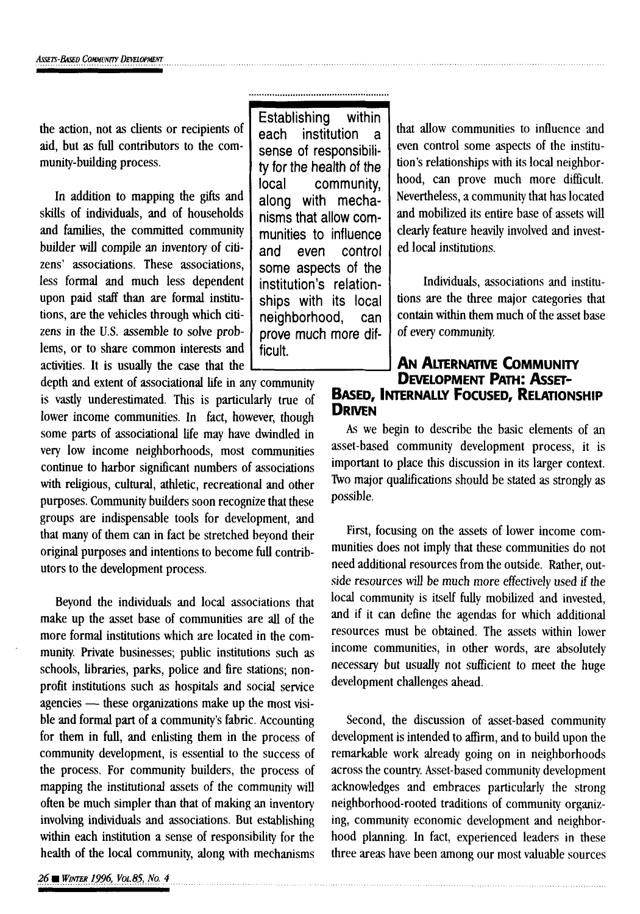the action, not **as** clients or recipients of aid, but **as full** contributors to the community-building process.

In addition to mapping the gifts and **skills** of individuals, and of households and families, the committed community builder will compile an inventory of citizens' associations. These associations, less formal and much less dependent upon paid staff than are formal institutions, are the vehicles through which citizens in the **U.S.** assemble to solve problems, or to share common interests and activities. It is usually the case that the

depth and extent of associational life in any community is vastly underestimated. This is particularly true of lower income communities. In fact, however, though some parts of associational life may have dwindled in very low income neighborhoods, most communities continue to harbor significant numbers of associations with religious, cultural, athletic, recreational and other purposes. Community builders soon recognize that these groups are indispensable tools for development, and that many of them can in fact be stretched beyond their original purposes and intentions to become **full** contributors to the development process.

Beyond the individuals and local associations that make up the asset base of communities are all of the more formal institutions which are located in the community. Private businesses; public institutions such **as**  schools, libraries, parks, police and fire stations; nonprofit institutions such **as** hospitals and social service schools, libraries, parks, police and fire stations; non-<br>profit institutions such as hospitals and social service<br>agencies — these organizations make up the most visible and formal part of a community's fabric. Accounting for them in full, and enlisting them in the process of community development, is essential to the success **of**  the process. For community builders, the process of mapping the institutional assets of the community will often be much simpler than that of making an inventory involving individuals and associations. But establishing within each institution a sense of responsibility for the health of the local community, along with mechanisms

Establishing within each institution a sense of responsibility for the health of the local community, along with mechanisms that allow communities to influence and even control some aspects of the institution's relationships with its local neighborhood, can prove much more difficult.

that allow communities to influence and even control some aspects of the institution's relationships with its local neighborhood, can prove much more difficult. Nevertheless, a community that has located and mobilized its entire base of assets will clearly feature heavily involved and invested local institutions.

Individuals, associations and institutions are the three major categories that contain **within** them much of the asset base of every community.

#### *AN* **ALTERNATIVE COMMUNITY DEVELOPMENT PATH: ASSET-BASED, INTERNALLY FOCUSED, RELATIONSHIP DRIVEN**

*As* we begin to describe the basic elements of an asset-based community development process, it is important to place this discussion in its larger context. 'Mo major quahfications should be stated **as** strongly **as**  possible.

First, focusing on the assets of lower income communities does not imply that these communities do not need additional resources from the outside. Rather, outside resources will be much more effectively used *if* the local community is itself fully mobilized and invested, and if it can define the agendas for which additional resources must be obtained. The assets within lower income communities, in other words, are absolutely necessary but usually not sufficient to meet the huge development challenges ahead.

Second, the discussion of asset-based community development is intended to affirm, and to build upon the remarkable work already going on in neighborhoods across the country. Asset-based community development acknowledges and embraces particularly the strong neighborhood-rooted traditions of community organizing, community economic development and neighborhood planning. In fact, experienced leaders in these three areas have been among our most valuable sources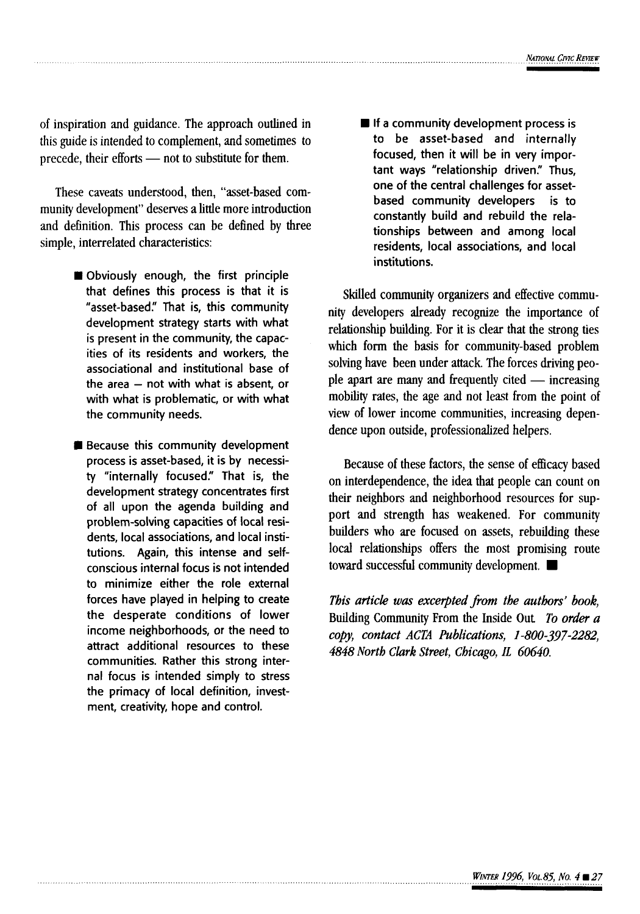of inspiration and guidance. The approach outlined in this guide is intended to complement, and sometimes to precede, their efforts - not to substitute for them.

These caveats understood, then, "asset-based community development" deserves a little more introduction and definition. This process can be defined by three simple, interrelated characteristics:

- Obviously enough, the first principle that defines this process is that it is "asset-based." That is, this community development strategy starts with what is present in the community, the capacities of its residents and workers, the associational and institutional base of the area  $-$  not with what is absent, or with what is problematic, or with what the community needs.
- **Because this community development** process is asset-based, it is by necessity "internally focused." That is, the development strategy concentrates first of all upon the agenda building and problem-solving capacities of local residents, local associations, and local institutions. Again, this intense and selfconscious internal focus is not intended to minimize either the role external forces have played in helping to create the desperate conditions of lower income neighborhoods, or the need to attract additional resources to these communities. Rather this strong internal focus is intended simply to stress the primacy of local definition, investment, creativity, hope and control.

 $\blacksquare$  If a community development process is to be asset-based and internally focused, then it will be in very important ways "relationship driven." Thus, one of the central challenges for assetbased community developers is to constantly build and rebuild the relationships between and among local residents, local associations, and local institutions.

Skilled community organizers and effective community developers already recognize the importance of relationship building. For it is clear that the strong ties which form the basis for community-based problem solving have been under attack. The forces driving peowhich form the basis for community-based problem<br>solving have been under attack. The forces driving peo-<br>ple apart are many and frequently cited — increasing mobility rates, the age and not least from the point of view of lower income communities, increasing dependence upon outside, professionalized helpers.

Because **of** these factors, the sense of efficacy based on interdependence, the idea that people can count on their neighbors and neighborhood resources for support and strength has weakened. For community builders **who** are focused on assets, rebuilding these local relationships offers the most promising route toward successful community development.

*This article was excerpted from the authors' book,*  Building Community From the Inside Out *To order a copy, contact ACTA Publications, I-800-397-2282, 4848 North Clark Street, Chicago, IL 60640.*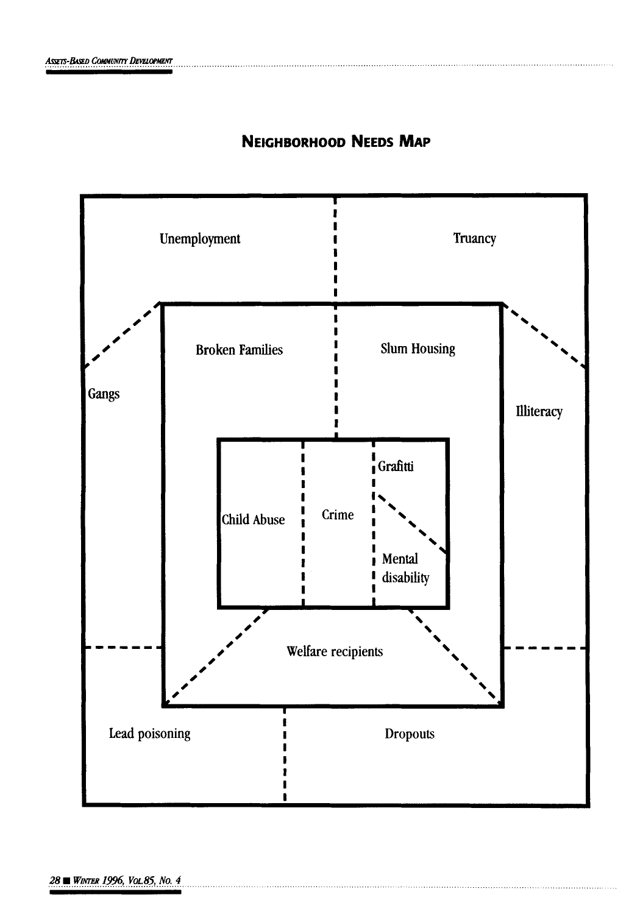## **NEIGHBORHOOD NEEDS MAP**

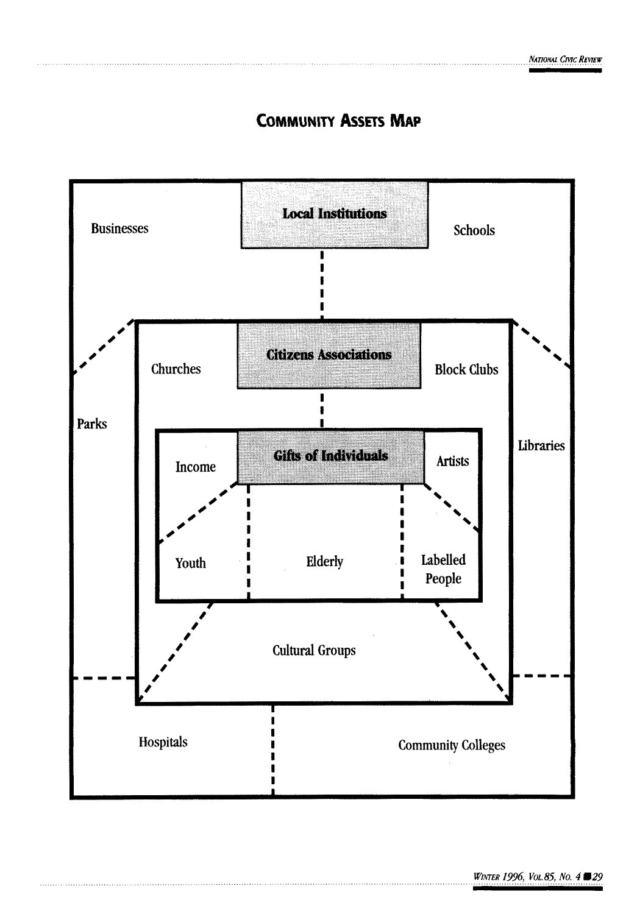## **COMMUNITY ASSETS MAP**